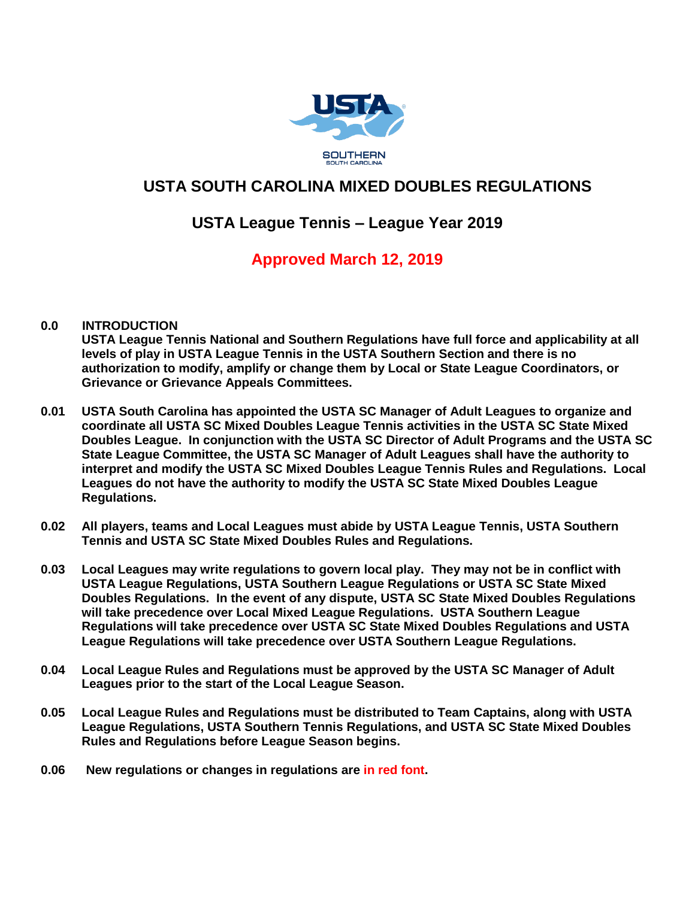

# **USTA SOUTH CAROLINA MIXED DOUBLES REGULATIONS**

# **USTA League Tennis – League Year 2019**

# **Approved March 12, 2019**

## **0.0 INTRODUCTION**

**USTA League Tennis National and Southern Regulations have full force and applicability at all levels of play in USTA League Tennis in the USTA Southern Section and there is no authorization to modify, amplify or change them by Local or State League Coordinators, or Grievance or Grievance Appeals Committees.**

- **0.01 USTA South Carolina has appointed the USTA SC Manager of Adult Leagues to organize and coordinate all USTA SC Mixed Doubles League Tennis activities in the USTA SC State Mixed Doubles League. In conjunction with the USTA SC Director of Adult Programs and the USTA SC State League Committee, the USTA SC Manager of Adult Leagues shall have the authority to interpret and modify the USTA SC Mixed Doubles League Tennis Rules and Regulations. Local Leagues do not have the authority to modify the USTA SC State Mixed Doubles League Regulations.**
- **0.02 All players, teams and Local Leagues must abide by USTA League Tennis, USTA Southern Tennis and USTA SC State Mixed Doubles Rules and Regulations.**
- **0.03 Local Leagues may write regulations to govern local play. They may not be in conflict with USTA League Regulations, USTA Southern League Regulations or USTA SC State Mixed Doubles Regulations. In the event of any dispute, USTA SC State Mixed Doubles Regulations will take precedence over Local Mixed League Regulations. USTA Southern League Regulations will take precedence over USTA SC State Mixed Doubles Regulations and USTA League Regulations will take precedence over USTA Southern League Regulations.**
- **0.04 Local League Rules and Regulations must be approved by the USTA SC Manager of Adult Leagues prior to the start of the Local League Season.**
- **0.05 Local League Rules and Regulations must be distributed to Team Captains, along with USTA League Regulations, USTA Southern Tennis Regulations, and USTA SC State Mixed Doubles Rules and Regulations before League Season begins.**
- **0.06 New regulations or changes in regulations are in red font.**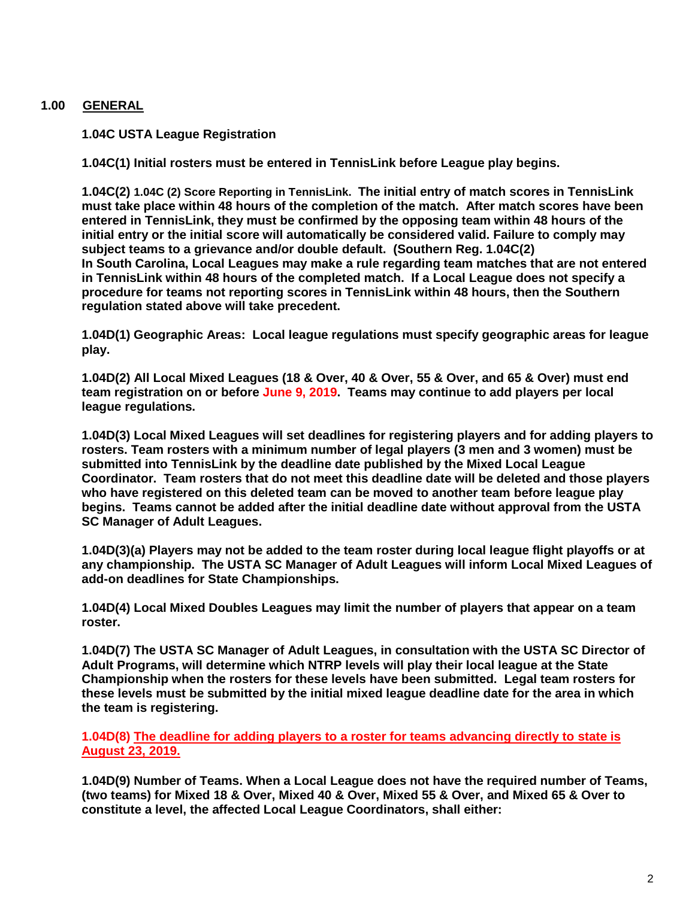## **1.00 GENERAL**

**1.04C USTA League Registration**

**1.04C(1) Initial rosters must be entered in TennisLink before League play begins.**

**1.04C(2) 1.04C (2) Score Reporting in TennisLink. The initial entry of match scores in TennisLink must take place within 48 hours of the completion of the match. After match scores have been entered in TennisLink, they must be confirmed by the opposing team within 48 hours of the initial entry or the initial score will automatically be considered valid. Failure to comply may subject teams to a grievance and/or double default. (Southern Reg. 1.04C(2) In South Carolina, Local Leagues may make a rule regarding team matches that are not entered in TennisLink within 48 hours of the completed match. If a Local League does not specify a procedure for teams not reporting scores in TennisLink within 48 hours, then the Southern regulation stated above will take precedent.**

**1.04D(1) Geographic Areas: Local league regulations must specify geographic areas for league play.**

**1.04D(2) All Local Mixed Leagues (18 & Over, 40 & Over, 55 & Over, and 65 & Over) must end team registration on or before June 9, 2019. Teams may continue to add players per local league regulations.**

**1.04D(3) Local Mixed Leagues will set deadlines for registering players and for adding players to rosters. Team rosters with a minimum number of legal players (3 men and 3 women) must be submitted into TennisLink by the deadline date published by the Mixed Local League Coordinator. Team rosters that do not meet this deadline date will be deleted and those players who have registered on this deleted team can be moved to another team before league play begins. Teams cannot be added after the initial deadline date without approval from the USTA SC Manager of Adult Leagues.**

**1.04D(3)(a) Players may not be added to the team roster during local league flight playoffs or at any championship. The USTA SC Manager of Adult Leagues will inform Local Mixed Leagues of add-on deadlines for State Championships.**

**1.04D(4) Local Mixed Doubles Leagues may limit the number of players that appear on a team roster.**

**1.04D(7) The USTA SC Manager of Adult Leagues, in consultation with the USTA SC Director of Adult Programs, will determine which NTRP levels will play their local league at the State Championship when the rosters for these levels have been submitted. Legal team rosters for these levels must be submitted by the initial mixed league deadline date for the area in which the team is registering.**

**1.04D(8) The deadline for adding players to a roster for teams advancing directly to state is August 23, 2019.**

**1.04D(9) Number of Teams. When a Local League does not have the required number of Teams, (two teams) for Mixed 18 & Over, Mixed 40 & Over, Mixed 55 & Over, and Mixed 65 & Over to constitute a level, the affected Local League Coordinators, shall either:**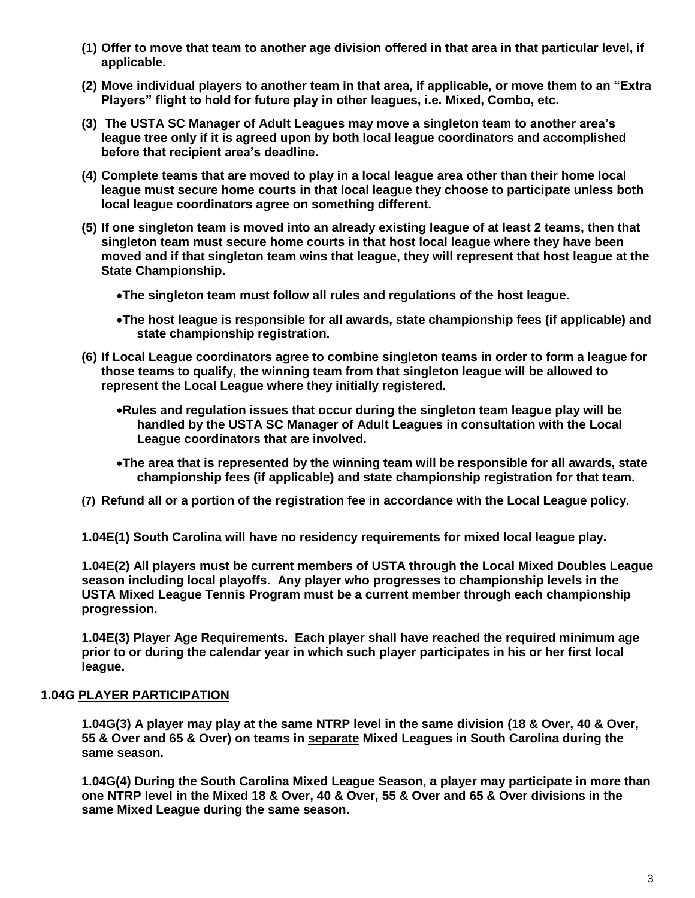- **(1) Offer to move that team to another age division offered in that area in that particular level, if applicable.**
- **(2) Move individual players to another team in that area, if applicable, or move them to an "Extra Players" flight to hold for future play in other leagues, i.e. Mixed, Combo, etc.**
- **(3) The USTA SC Manager of Adult Leagues may move a singleton team to another area's league tree only if it is agreed upon by both local league coordinators and accomplished before that recipient area's deadline.**
- **(4) Complete teams that are moved to play in a local league area other than their home local league must secure home courts in that local league they choose to participate unless both local league coordinators agree on something different.**
- **(5) If one singleton team is moved into an already existing league of at least 2 teams, then that singleton team must secure home courts in that host local league where they have been moved and if that singleton team wins that league, they will represent that host league at the State Championship.**
	- •**The singleton team must follow all rules and regulations of the host league.**
	- •**The host league is responsible for all awards, state championship fees (if applicable) and state championship registration.**
- **(6) If Local League coordinators agree to combine singleton teams in order to form a league for those teams to qualify, the winning team from that singleton league will be allowed to represent the Local League where they initially registered.**
	- •**Rules and regulation issues that occur during the singleton team league play will be handled by the USTA SC Manager of Adult Leagues in consultation with the Local League coordinators that are involved.**
	- •**The area that is represented by the winning team will be responsible for all awards, state championship fees (if applicable) and state championship registration for that team.**
- **(7) Refund all or a portion of the registration fee in accordance with the Local League policy**.
- **1.04E(1) South Carolina will have no residency requirements for mixed local league play.**

**1.04E(2) All players must be current members of USTA through the Local Mixed Doubles League season including local playoffs. Any player who progresses to championship levels in the USTA Mixed League Tennis Program must be a current member through each championship progression.**

**1.04E(3) Player Age Requirements. Each player shall have reached the required minimum age prior to or during the calendar year in which such player participates in his or her first local league.**

#### **1.04G PLAYER PARTICIPATION**

**1.04G(3) A player may play at the same NTRP level in the same division (18 & Over, 40 & Over, 55 & Over and 65 & Over) on teams in separate Mixed Leagues in South Carolina during the same season.** 

**1.04G(4) During the South Carolina Mixed League Season, a player may participate in more than one NTRP level in the Mixed 18 & Over, 40 & Over, 55 & Over and 65 & Over divisions in the same Mixed League during the same season.**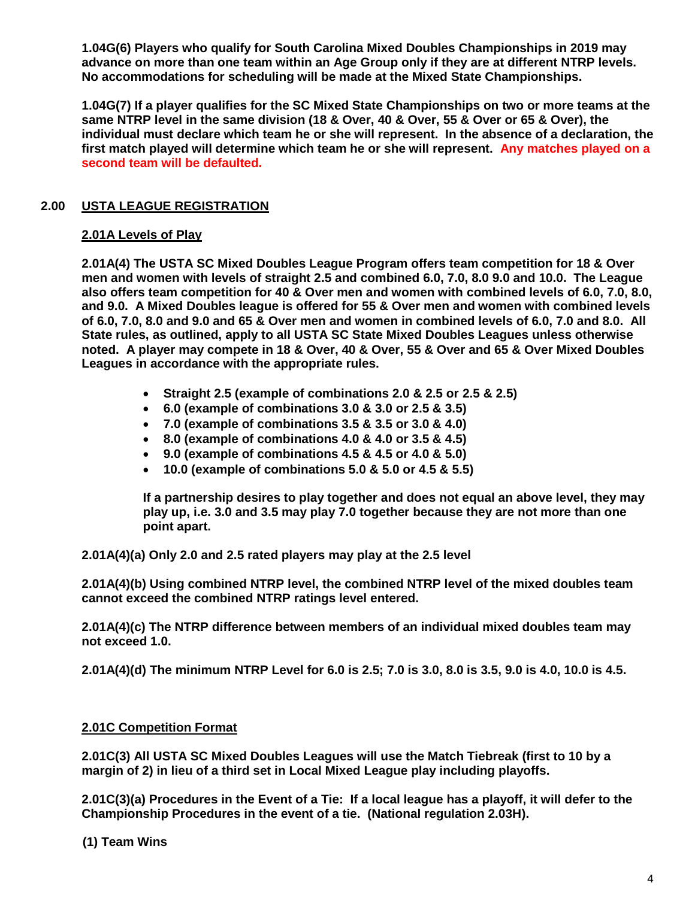**1.04G(6) Players who qualify for South Carolina Mixed Doubles Championships in 2019 may advance on more than one team within an Age Group only if they are at different NTRP levels. No accommodations for scheduling will be made at the Mixed State Championships.**

**1.04G(7) If a player qualifies for the SC Mixed State Championships on two or more teams at the same NTRP level in the same division (18 & Over, 40 & Over, 55 & Over or 65 & Over), the individual must declare which team he or she will represent. In the absence of a declaration, the first match played will determine which team he or she will represent. Any matches played on a second team will be defaulted.**

## **2.00 USTA LEAGUE REGISTRATION**

## **2.01A Levels of Play**

**2.01A(4) The USTA SC Mixed Doubles League Program offers team competition for 18 & Over men and women with levels of straight 2.5 and combined 6.0, 7.0, 8.0 9.0 and 10.0. The League also offers team competition for 40 & Over men and women with combined levels of 6.0, 7.0, 8.0, and 9.0. A Mixed Doubles league is offered for 55 & Over men and women with combined levels of 6.0, 7.0, 8.0 and 9.0 and 65 & Over men and women in combined levels of 6.0, 7.0 and 8.0. All State rules, as outlined, apply to all USTA SC State Mixed Doubles Leagues unless otherwise noted. A player may compete in 18 & Over, 40 & Over, 55 & Over and 65 & Over Mixed Doubles Leagues in accordance with the appropriate rules.**

- **Straight 2.5 (example of combinations 2.0 & 2.5 or 2.5 & 2.5)**
- **6.0 (example of combinations 3.0 & 3.0 or 2.5 & 3.5)**
- **7.0 (example of combinations 3.5 & 3.5 or 3.0 & 4.0)**
- **8.0 (example of combinations 4.0 & 4.0 or 3.5 & 4.5)**
- **9.0 (example of combinations 4.5 & 4.5 or 4.0 & 5.0)**
- **10.0 (example of combinations 5.0 & 5.0 or 4.5 & 5.5)**

**If a partnership desires to play together and does not equal an above level, they may play up, i.e. 3.0 and 3.5 may play 7.0 together because they are not more than one point apart.**

**2.01A(4)(a) Only 2.0 and 2.5 rated players may play at the 2.5 level**

**2.01A(4)(b) Using combined NTRP level, the combined NTRP level of the mixed doubles team cannot exceed the combined NTRP ratings level entered.**

**2.01A(4)(c) The NTRP difference between members of an individual mixed doubles team may not exceed 1.0.**

**2.01A(4)(d) The minimum NTRP Level for 6.0 is 2.5; 7.0 is 3.0, 8.0 is 3.5, 9.0 is 4.0, 10.0 is 4.5.**

## **2.01C Competition Format**

**2.01C(3) All USTA SC Mixed Doubles Leagues will use the Match Tiebreak (first to 10 by a margin of 2) in lieu of a third set in Local Mixed League play including playoffs.**

**2.01C(3)(a) Procedures in the Event of a Tie: If a local league has a playoff, it will defer to the Championship Procedures in the event of a tie. (National regulation 2.03H).**

**(1) Team Wins**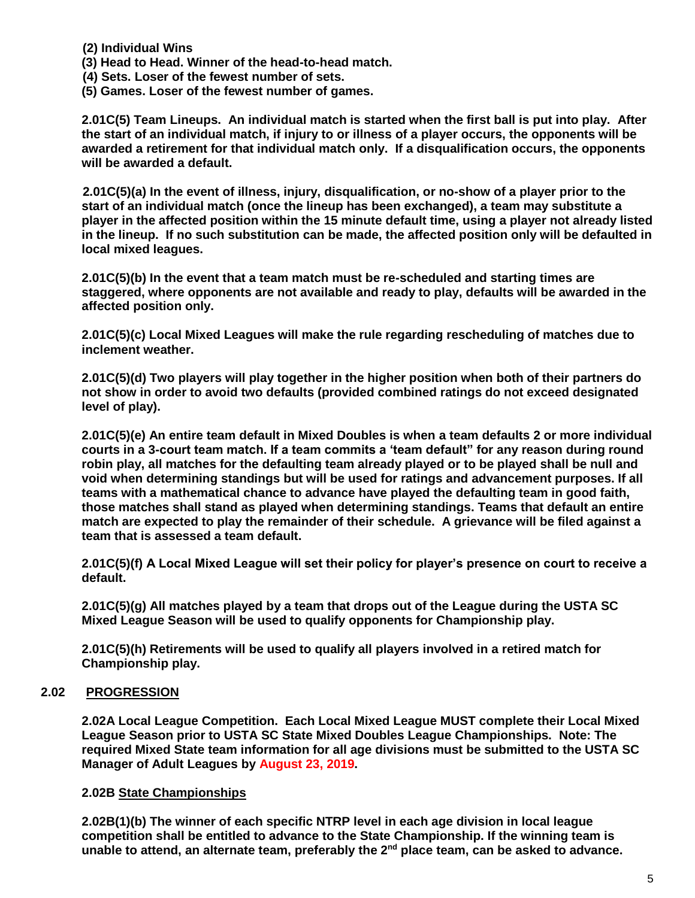- **(2) Individual Wins**
- **(3) Head to Head. Winner of the head-to-head match.**
- **(4) Sets. Loser of the fewest number of sets.**
- **(5) Games. Loser of the fewest number of games.**

**2.01C(5) Team Lineups. An individual match is started when the first ball is put into play. After the start of an individual match, if injury to or illness of a player occurs, the opponents will be awarded a retirement for that individual match only. If a disqualification occurs, the opponents will be awarded a default.** 

 **2.01C(5)(a) In the event of illness, injury, disqualification, or no-show of a player prior to the start of an individual match (once the lineup has been exchanged), a team may substitute a player in the affected position within the 15 minute default time, using a player not already listed in the lineup. If no such substitution can be made, the affected position only will be defaulted in local mixed leagues.**

**2.01C(5)(b) In the event that a team match must be re-scheduled and starting times are staggered, where opponents are not available and ready to play, defaults will be awarded in the affected position only.**

**2.01C(5)(c) Local Mixed Leagues will make the rule regarding rescheduling of matches due to inclement weather.**

**2.01C(5)(d) Two players will play together in the higher position when both of their partners do not show in order to avoid two defaults (provided combined ratings do not exceed designated level of play).**

**2.01C(5)(e) An entire team default in Mixed Doubles is when a team defaults 2 or more individual courts in a 3-court team match. If a team commits a 'team default" for any reason during round robin play, all matches for the defaulting team already played or to be played shall be null and void when determining standings but will be used for ratings and advancement purposes. If all teams with a mathematical chance to advance have played the defaulting team in good faith, those matches shall stand as played when determining standings. Teams that default an entire match are expected to play the remainder of their schedule. A grievance will be filed against a team that is assessed a team default.**

**2.01C(5)(f) A Local Mixed League will set their policy for player's presence on court to receive a default.**

**2.01C(5)(g) All matches played by a team that drops out of the League during the USTA SC Mixed League Season will be used to qualify opponents for Championship play.**

**2.01C(5)(h) Retirements will be used to qualify all players involved in a retired match for Championship play.** 

## **2.02 PROGRESSION**

**2.02A Local League Competition. Each Local Mixed League MUST complete their Local Mixed League Season prior to USTA SC State Mixed Doubles League Championships. Note: The required Mixed State team information for all age divisions must be submitted to the USTA SC Manager of Adult Leagues by August 23, 2019.** 

#### **2.02B State Championships**

**2.02B(1)(b) The winner of each specific NTRP level in each age division in local league competition shall be entitled to advance to the State Championship. If the winning team is unable to attend, an alternate team, preferably the 2nd place team, can be asked to advance.**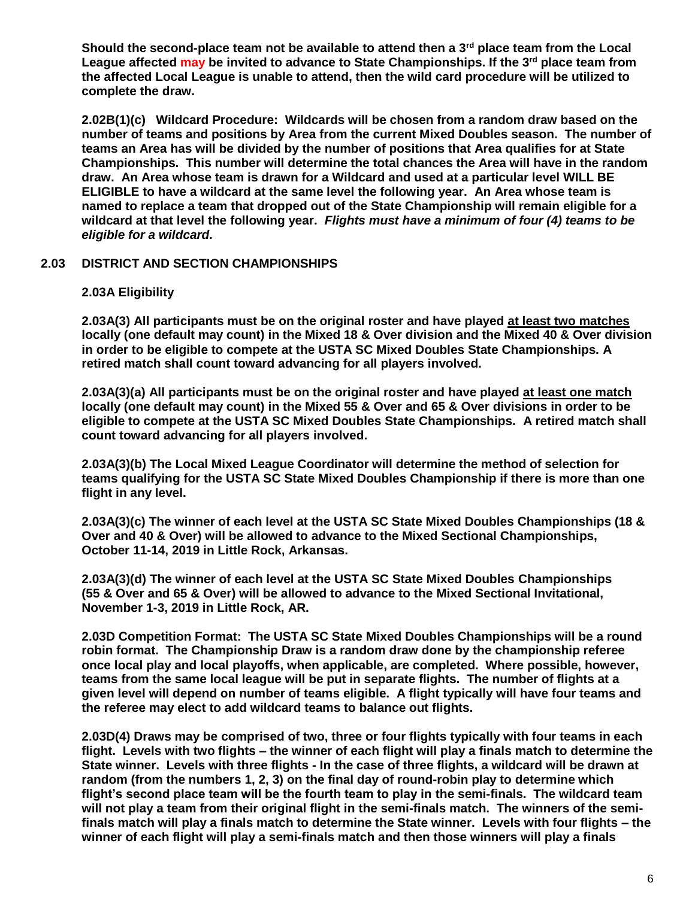**Should the second-place team not be available to attend then a 3rd place team from the Local League affected may be invited to advance to State Championships. If the 3rd place team from the affected Local League is unable to attend, then the wild card procedure will be utilized to complete the draw.**

**2.02B(1)(c) Wildcard Procedure: Wildcards will be chosen from a random draw based on the number of teams and positions by Area from the current Mixed Doubles season. The number of teams an Area has will be divided by the number of positions that Area qualifies for at State Championships. This number will determine the total chances the Area will have in the random draw. An Area whose team is drawn for a Wildcard and used at a particular level WILL BE ELIGIBLE to have a wildcard at the same level the following year. An Area whose team is named to replace a team that dropped out of the State Championship will remain eligible for a wildcard at that level the following year.** *Flights must have a minimum of four (4) teams to be eligible for a wildcard.*

## **2.03 DISTRICT AND SECTION CHAMPIONSHIPS**

#### **2.03A Eligibility**

**2.03A(3) All participants must be on the original roster and have played at least two matches locally (one default may count) in the Mixed 18 & Over division and the Mixed 40 & Over division in order to be eligible to compete at the USTA SC Mixed Doubles State Championships. A retired match shall count toward advancing for all players involved.**

**2.03A(3)(a) All participants must be on the original roster and have played at least one match locally (one default may count) in the Mixed 55 & Over and 65 & Over divisions in order to be eligible to compete at the USTA SC Mixed Doubles State Championships. A retired match shall count toward advancing for all players involved.**

**2.03A(3)(b) The Local Mixed League Coordinator will determine the method of selection for teams qualifying for the USTA SC State Mixed Doubles Championship if there is more than one flight in any level.**

**2.03A(3)(c) The winner of each level at the USTA SC State Mixed Doubles Championships (18 & Over and 40 & Over) will be allowed to advance to the Mixed Sectional Championships, October 11-14, 2019 in Little Rock, Arkansas.**

**2.03A(3)(d) The winner of each level at the USTA SC State Mixed Doubles Championships (55 & Over and 65 & Over) will be allowed to advance to the Mixed Sectional Invitational, November 1-3, 2019 in Little Rock, AR.**

**2.03D Competition Format: The USTA SC State Mixed Doubles Championships will be a round robin format. The Championship Draw is a random draw done by the championship referee once local play and local playoffs, when applicable, are completed. Where possible, however, teams from the same local league will be put in separate flights. The number of flights at a given level will depend on number of teams eligible. A flight typically will have four teams and the referee may elect to add wildcard teams to balance out flights.** 

**2.03D(4) Draws may be comprised of two, three or four flights typically with four teams in each flight. Levels with two flights – the winner of each flight will play a finals match to determine the State winner. Levels with three flights - In the case of three flights, a wildcard will be drawn at random (from the numbers 1, 2, 3) on the final day of round-robin play to determine which flight's second place team will be the fourth team to play in the semi-finals. The wildcard team will not play a team from their original flight in the semi-finals match. The winners of the semifinals match will play a finals match to determine the State winner. Levels with four flights – the winner of each flight will play a semi-finals match and then those winners will play a finals**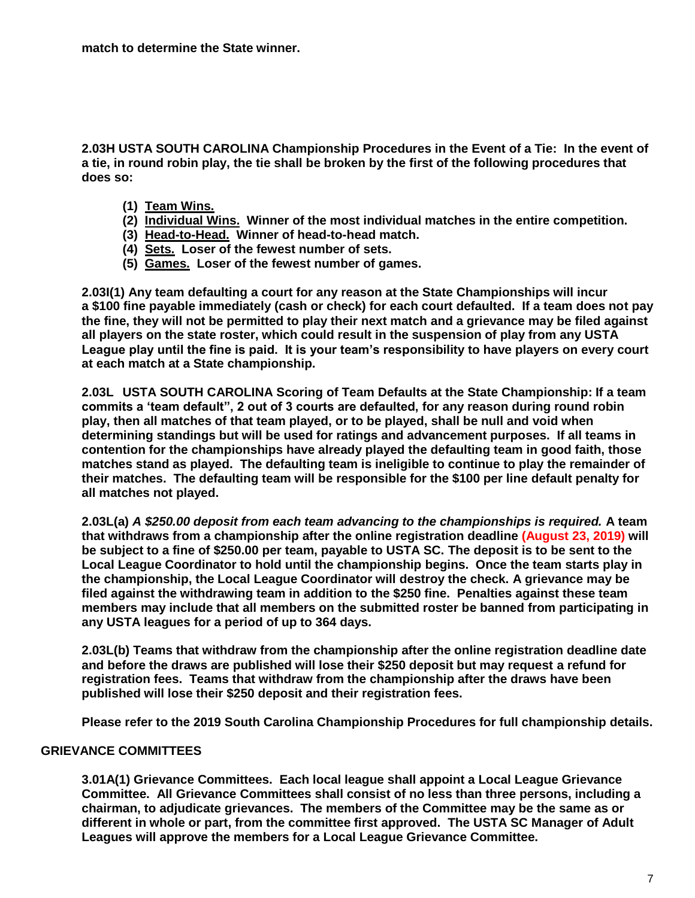**2.03H USTA SOUTH CAROLINA Championship Procedures in the Event of a Tie: In the event of a tie, in round robin play, the tie shall be broken by the first of the following procedures that does so:**

- **(1) Team Wins.**
- **(2) Individual Wins. Winner of the most individual matches in the entire competition.**
- **(3) Head-to-Head. Winner of head-to-head match.**
- **(4) Sets. Loser of the fewest number of sets.**
- **(5) Games. Loser of the fewest number of games.**

**2.03I(1) Any team defaulting a court for any reason at the State Championships will incur a \$100 fine payable immediately (cash or check) for each court defaulted. If a team does not pay the fine, they will not be permitted to play their next match and a grievance may be filed against all players on the state roster, which could result in the suspension of play from any USTA League play until the fine is paid. It is your team's responsibility to have players on every court at each match at a State championship.**

**2.03L USTA SOUTH CAROLINA Scoring of Team Defaults at the State Championship: If a team commits a 'team default", 2 out of 3 courts are defaulted, for any reason during round robin play, then all matches of that team played, or to be played, shall be null and void when determining standings but will be used for ratings and advancement purposes. If all teams in contention for the championships have already played the defaulting team in good faith, those matches stand as played. The defaulting team is ineligible to continue to play the remainder of their matches. The defaulting team will be responsible for the \$100 per line default penalty for all matches not played.**

**2.03L(a)** *A \$250.00 deposit from each team advancing to the championships is required.* **A team that withdraws from a championship after the online registration deadline (August 23, 2019) will be subject to a fine of \$250.00 per team, payable to USTA SC. The deposit is to be sent to the Local League Coordinator to hold until the championship begins. Once the team starts play in the championship, the Local League Coordinator will destroy the check. A grievance may be filed against the withdrawing team in addition to the \$250 fine. Penalties against these team members may include that all members on the submitted roster be banned from participating in any USTA leagues for a period of up to 364 days.**

**2.03L(b) Teams that withdraw from the championship after the online registration deadline date and before the draws are published will lose their \$250 deposit but may request a refund for registration fees. Teams that withdraw from the championship after the draws have been published will lose their \$250 deposit and their registration fees.**

**Please refer to the 2019 South Carolina Championship Procedures for full championship details.**

## **GRIEVANCE COMMITTEES**

**3.01A(1) Grievance Committees. Each local league shall appoint a Local League Grievance Committee. All Grievance Committees shall consist of no less than three persons, including a chairman, to adjudicate grievances. The members of the Committee may be the same as or different in whole or part, from the committee first approved. The USTA SC Manager of Adult Leagues will approve the members for a Local League Grievance Committee.**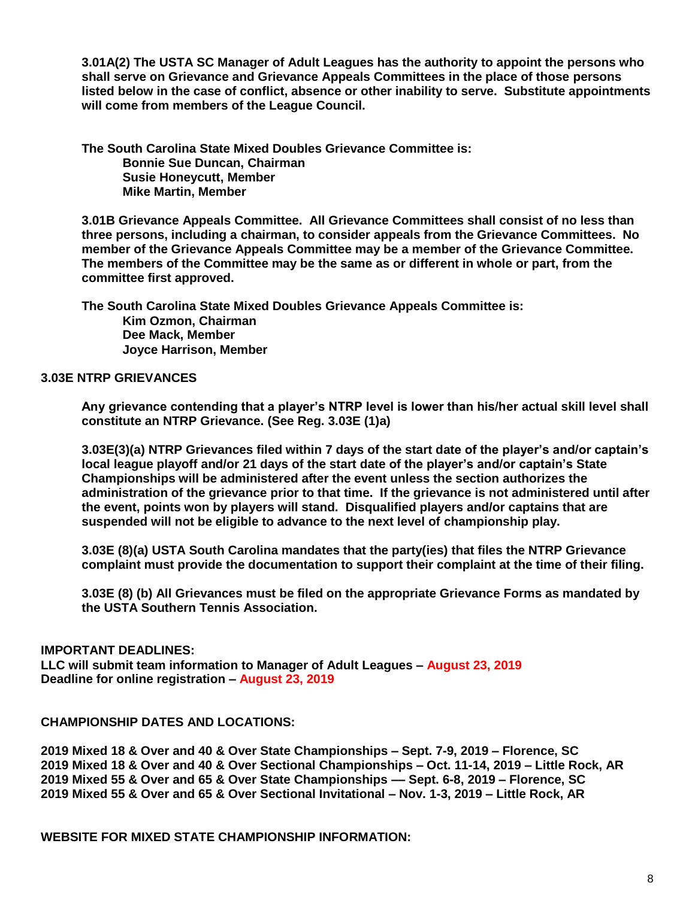**3.01A(2) The USTA SC Manager of Adult Leagues has the authority to appoint the persons who shall serve on Grievance and Grievance Appeals Committees in the place of those persons listed below in the case of conflict, absence or other inability to serve. Substitute appointments will come from members of the League Council.**

**The South Carolina State Mixed Doubles Grievance Committee is: Bonnie Sue Duncan, Chairman Susie Honeycutt, Member Mike Martin, Member**

**3.01B Grievance Appeals Committee. All Grievance Committees shall consist of no less than three persons, including a chairman, to consider appeals from the Grievance Committees. No member of the Grievance Appeals Committee may be a member of the Grievance Committee. The members of the Committee may be the same as or different in whole or part, from the committee first approved.**

**The South Carolina State Mixed Doubles Grievance Appeals Committee is: Kim Ozmon, Chairman Dee Mack, Member Joyce Harrison, Member**

#### **3.03E NTRP GRIEVANCES**

**Any grievance contending that a player's NTRP level is lower than his/her actual skill level shall constitute an NTRP Grievance. (See Reg. 3.03E (1)a)**

**3.03E(3)(a) NTRP Grievances filed within 7 days of the start date of the player's and/or captain's local league playoff and/or 21 days of the start date of the player's and/or captain's State Championships will be administered after the event unless the section authorizes the administration of the grievance prior to that time. If the grievance is not administered until after the event, points won by players will stand. Disqualified players and/or captains that are suspended will not be eligible to advance to the next level of championship play.**

**3.03E (8)(a) USTA South Carolina mandates that the party(ies) that files the NTRP Grievance complaint must provide the documentation to support their complaint at the time of their filing.**

**3.03E (8) (b) All Grievances must be filed on the appropriate Grievance Forms as mandated by the USTA Southern Tennis Association.**

#### **IMPORTANT DEADLINES:**

**LLC will submit team information to Manager of Adult Leagues – August 23, 2019 Deadline for online registration – August 23, 2019**

#### **CHAMPIONSHIP DATES AND LOCATIONS:**

 **Mixed 18 & Over and 40 & Over State Championships – Sept. 7-9, 2019 – Florence, SC Mixed 18 & Over and 40 & Over Sectional Championships – Oct. 11-14, 2019 – Little Rock, AR Mixed 55 & Over and 65 & Over State Championships –– Sept. 6-8, 2019 – Florence, SC Mixed 55 & Over and 65 & Over Sectional Invitational – Nov. 1-3, 2019 – Little Rock, AR**

**WEBSITE FOR MIXED STATE CHAMPIONSHIP INFORMATION:**